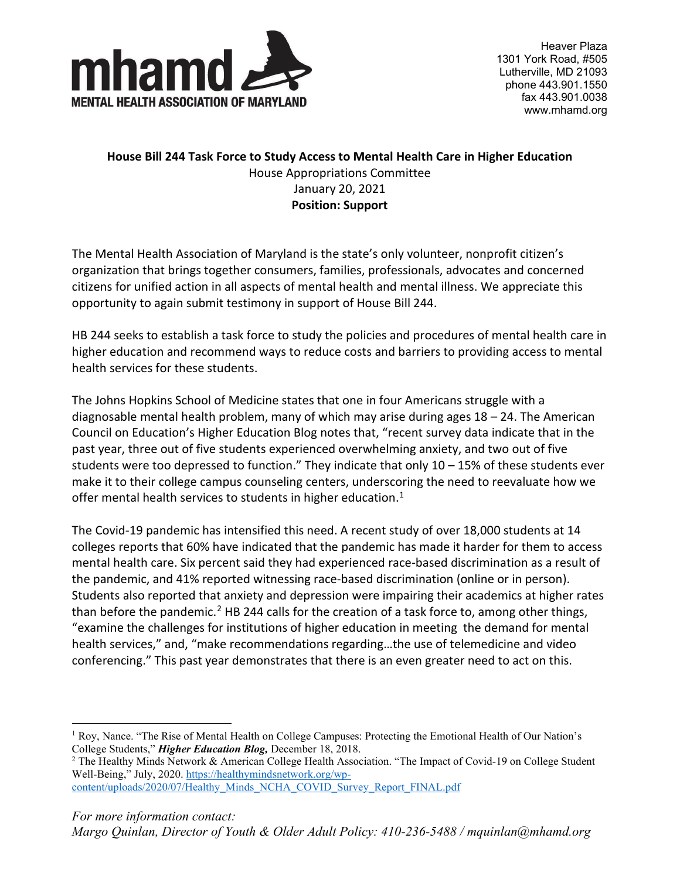

Heaver Plaza 1301 York Road, #505 Lutherville, MD 21093 phone 443.901.1550 fax 443.901.0038 www.mhamd.org

## **House Bill 244 Task Force to Study Access to Mental Health Care in Higher Education** House Appropriations Committee January 20, 2021 **Position: Support**

The Mental Health Association of Maryland is the state's only volunteer, nonprofit citizen's organization that brings together consumers, families, professionals, advocates and concerned citizens for unified action in all aspects of mental health and mental illness. We appreciate this opportunity to again submit testimony in support of House Bill 244.

HB 244 seeks to establish a task force to study the policies and procedures of mental health care in higher education and recommend ways to reduce costs and barriers to providing access to mental health services for these students.

The Johns Hopkins School of Medicine states that one in four Americans struggle with a diagnosable mental health problem, many of which may arise during ages 18 – 24. The American Council on Education's Higher Education Blog notes that, "recent survey data indicate that in the past year, three out of five students experienced overwhelming anxiety, and two out of five students were too depressed to function." They indicate that only  $10 - 15\%$  of these students ever make it to their college campus counseling centers, underscoring the need to reevaluate how we offer mental health services to students in higher education.<sup>[1](#page-0-0)</sup>

The Covid-19 pandemic has intensified this need. A recent study of over 18,000 students at 14 colleges reports that 60% have indicated that the pandemic has made it harder for them to access mental health care. Six percent said they had experienced race-based discrimination as a result of the pandemic, and 41% reported witnessing race-based discrimination (online or in person). Students also reported that anxiety and depression were impairing their academics at higher rates than before the pandemic.<sup>[2](#page-0-1)</sup> HB 244 calls for the creation of a task force to, among other things, "examine the challenges for institutions of higher education in meeting the demand for mental health services," and, "make recommendations regarding…the use of telemedicine and video conferencing." This past year demonstrates that there is an even greater need to act on this.

<span id="page-0-0"></span><sup>&</sup>lt;sup>1</sup> Roy, Nance. "The Rise of Mental Health on College Campuses: Protecting the Emotional Health of Our Nation's College Students," *Higher Education Blog,* December 18, 2018.

<span id="page-0-1"></span><sup>&</sup>lt;sup>2</sup> The Healthy Minds Network & American College Health Association. "The Impact of Covid-19 on College Student Well-Being," July, 2020[. https://healthymindsnetwork.org/wp-](https://healthymindsnetwork.org/wp-content/uploads/2020/07/Healthy_Minds_NCHA_COVID_Survey_Report_FINAL.pdf)

[content/uploads/2020/07/Healthy\\_Minds\\_NCHA\\_COVID\\_Survey\\_Report\\_FINAL.pdf](https://healthymindsnetwork.org/wp-content/uploads/2020/07/Healthy_Minds_NCHA_COVID_Survey_Report_FINAL.pdf)